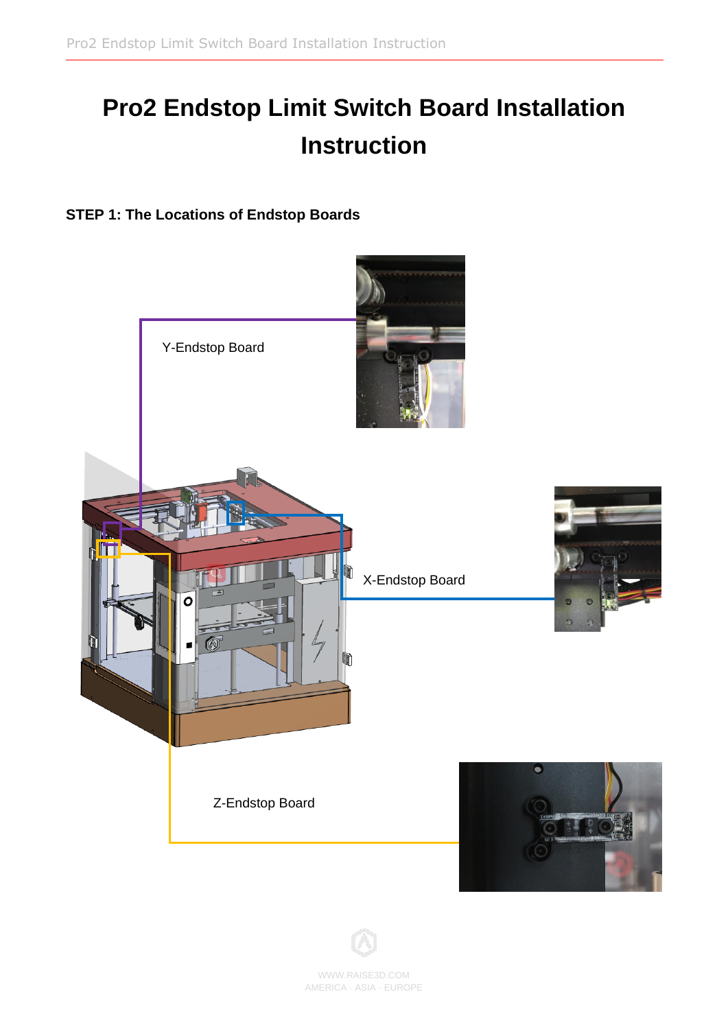# **Pro2 Endstop Limit Switch Board Installation Instruction**

**STEP 1: The Locations of Endstop Boards**





WWW.RAISE3D.COM AMERICA ·ASIA · EUROPE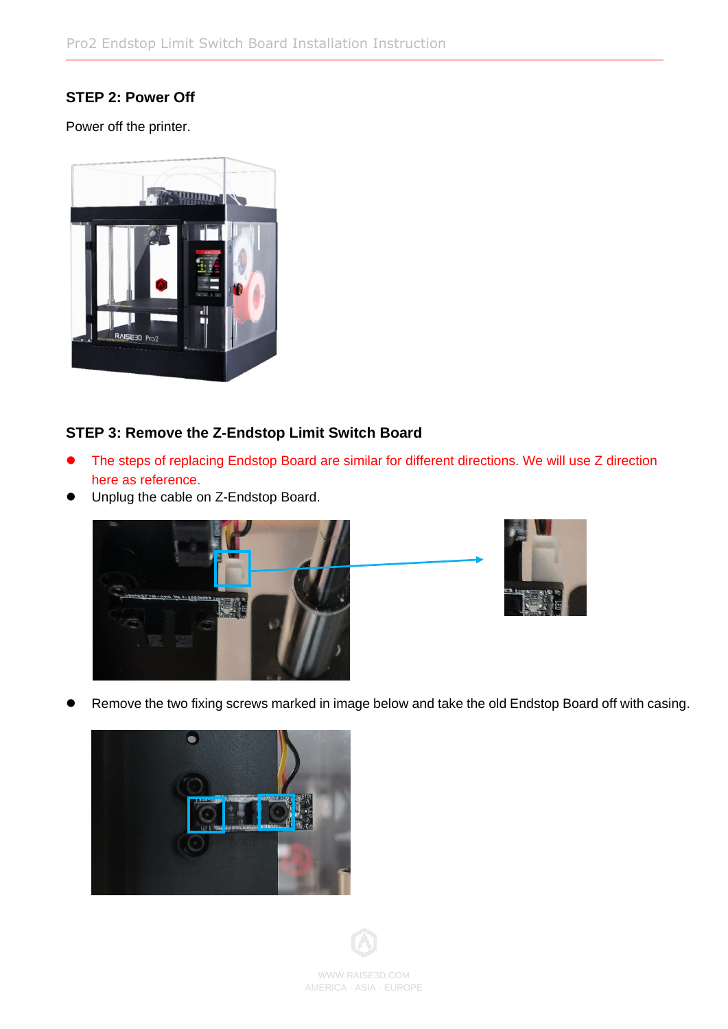# **STEP 2: Power Off**

Power off the printer.



## **STEP 3: Remove the Z-Endstop Limit Switch Board**

- The steps of replacing Endstop Board are similar for different directions. We will use Z direction here as reference.
- ⚫ Unplug the cable on Z-Endstop Board.









WWW.RAISE3D.COM AMERICA ·ASIA · EUROPE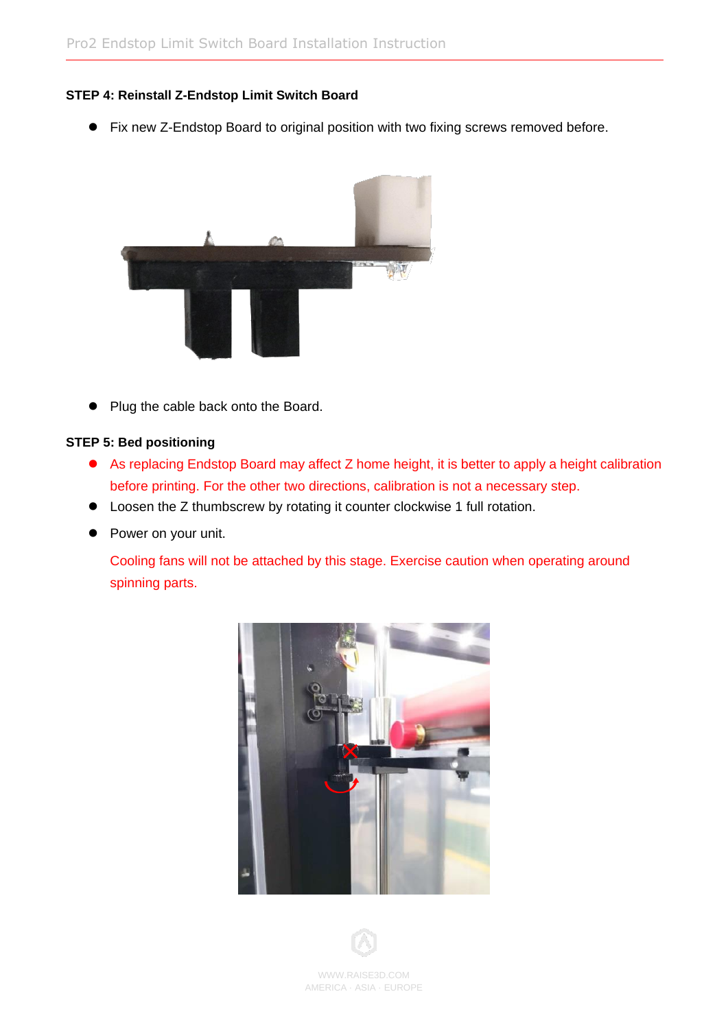## **STEP 4: Reinstall Z-Endstop Limit Switch Board**

● Fix new Z-Endstop Board to original position with two fixing screws removed before.



● Plug the cable back onto the Board.

#### **STEP 5: Bed positioning**

- As replacing Endstop Board may affect Z home height, it is better to apply a height calibration before printing. For the other two directions, calibration is not a necessary step.
- Loosen the Z thumbscrew by rotating it counter clockwise 1 full rotation.
- Power on your unit.

Cooling fans will not be attached by this stage. Exercise caution when operating around spinning parts.





WWW.RAISE3D.COM AMERICA ·ASIA · EUROPE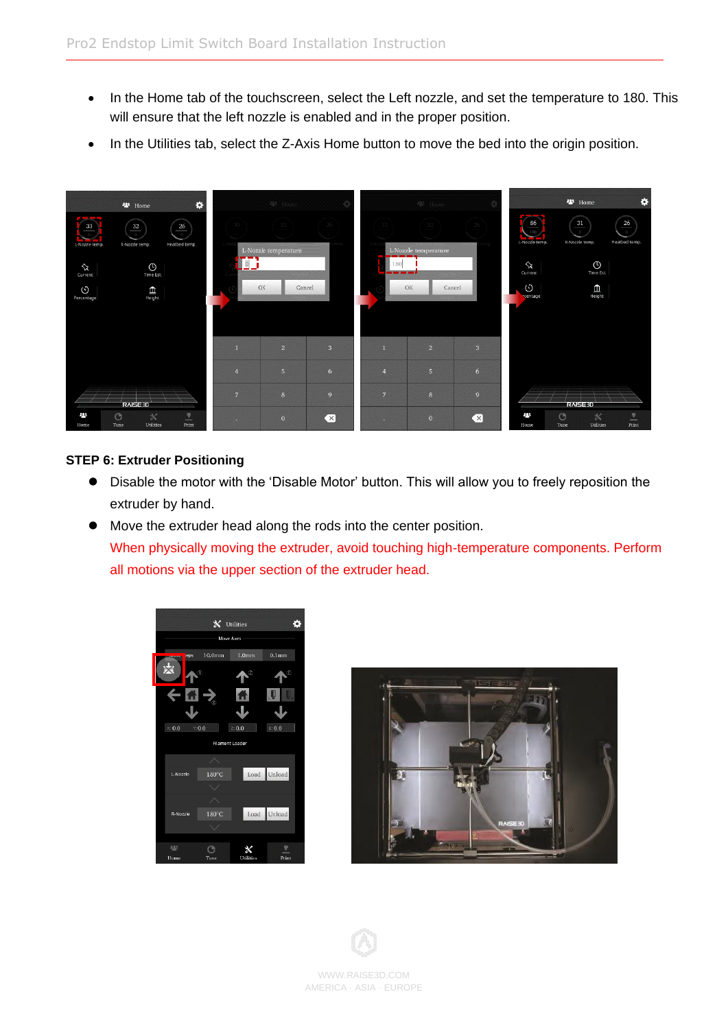- In the Home tab of the touchscreen, select the Left nozzle, and set the temperature to 180. This will ensure that the left nozzle is enabled and in the proper position.
- In the Utilities tab, select the Z-Axis Home button to move the bed into the origin position.



#### **STEP 6: Extruder Positioning**

- ⚫ Disable the motor with the 'Disable Motor' button. This will allow you to freely reposition the extruder by hand.
- ⚫ Move the extruder head along the rods into the center position. When physically moving the extruder, avoid touching high-temperature components. Perform all motions via the upper section of the extruder head.